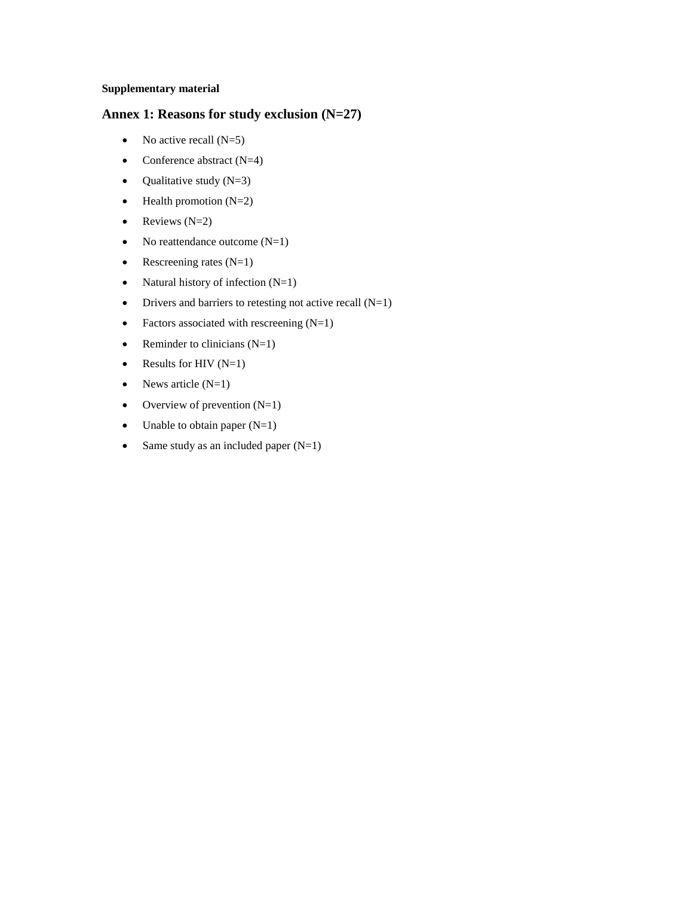#### **Supplementary material**

## **Annex 1: Reasons for study exclusion (N=27)**

- No active recall  $(N=5)$
- Conference abstract  $(N=4)$
- Qualitative study  $(N=3)$
- $\bullet$  Health promotion (N=2)
- Reviews  $(N=2)$
- No reattendance outcome  $(N=1)$
- Rescreening rates  $(N=1)$
- Natural history of infection  $(N=1)$
- Drivers and barriers to retesting not active recall  $(N=1)$
- Factors associated with rescreening  $(N=1)$
- Reminder to clinicians  $(N=1)$
- Results for HIV  $(N=1)$
- News article  $(N=1)$
- Overview of prevention  $(N=1)$
- Unable to obtain paper  $(N=1)$
- Same study as an included paper  $(N=1)$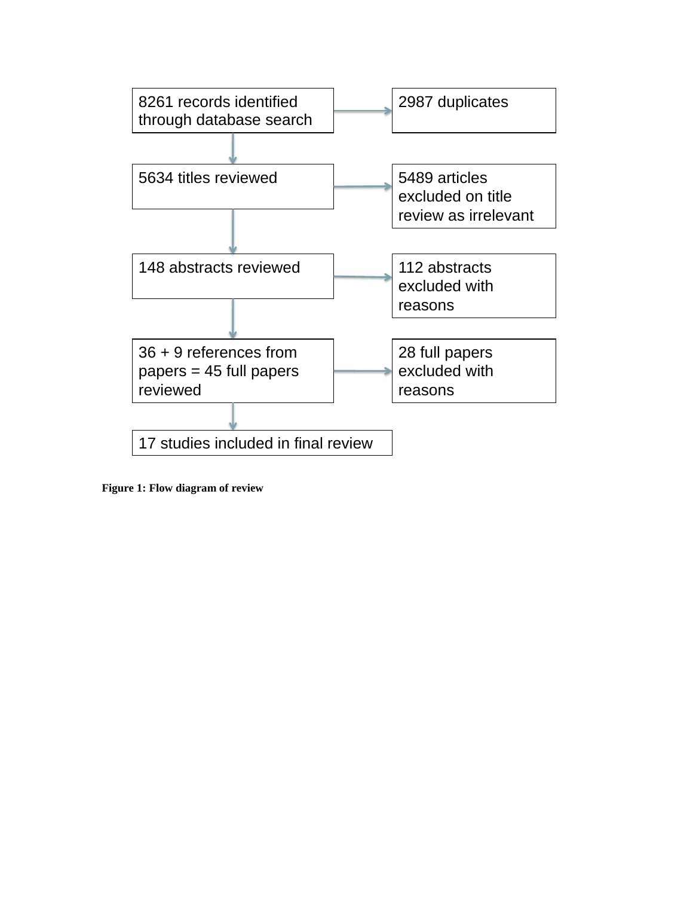

**Figure 1: Flow diagram of review**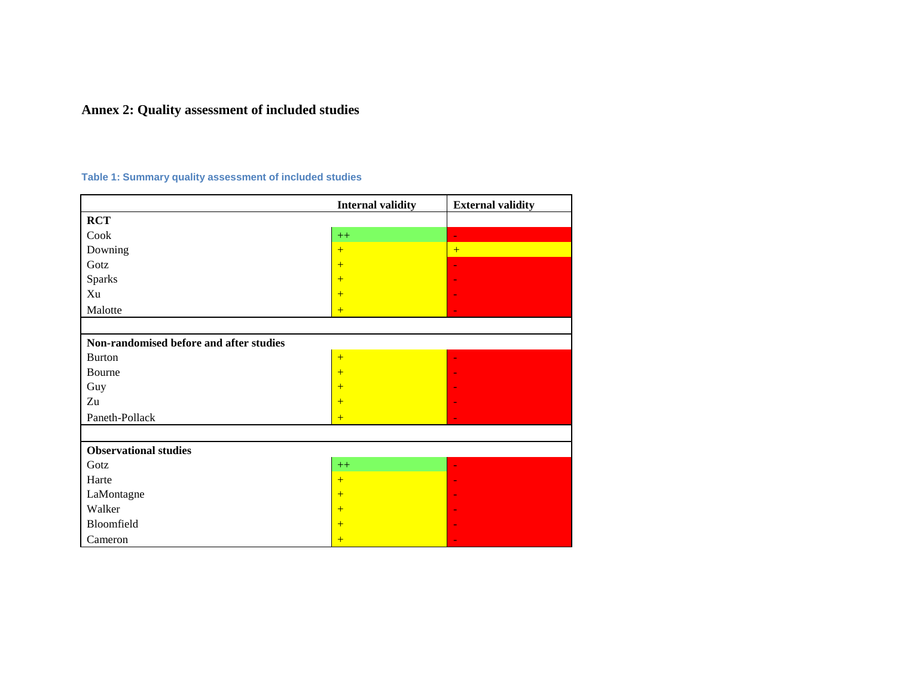# **Annex 2: Quality assessment of included studies**

## **Table 1: Summary quality assessment of included studies**

|                                         | <b>Internal validity</b> | <b>External validity</b> |
|-----------------------------------------|--------------------------|--------------------------|
| <b>RCT</b>                              |                          |                          |
| Cook                                    | $++$                     | ٠                        |
| Downing                                 | $+$                      | $+$                      |
| Gotz                                    | $+$                      |                          |
| <b>Sparks</b>                           | $+$                      |                          |
| Xu                                      | $+$                      |                          |
| Malotte                                 | $+$                      |                          |
|                                         |                          |                          |
| Non-randomised before and after studies |                          |                          |
| <b>Burton</b>                           | $+$                      |                          |
| Bourne                                  | $+$                      |                          |
| Guy                                     | $+$                      |                          |
| Zu                                      | $+$                      |                          |
| Paneth-Pollack                          | $+$                      |                          |
|                                         |                          |                          |
| <b>Observational studies</b>            |                          |                          |
| Gotz                                    | $++$                     |                          |
| Harte                                   | $+$                      |                          |
| LaMontagne                              | $+$                      |                          |
| Walker                                  | $+$                      |                          |
| Bloomfield                              | $+$                      |                          |
| Cameron                                 | $+$                      |                          |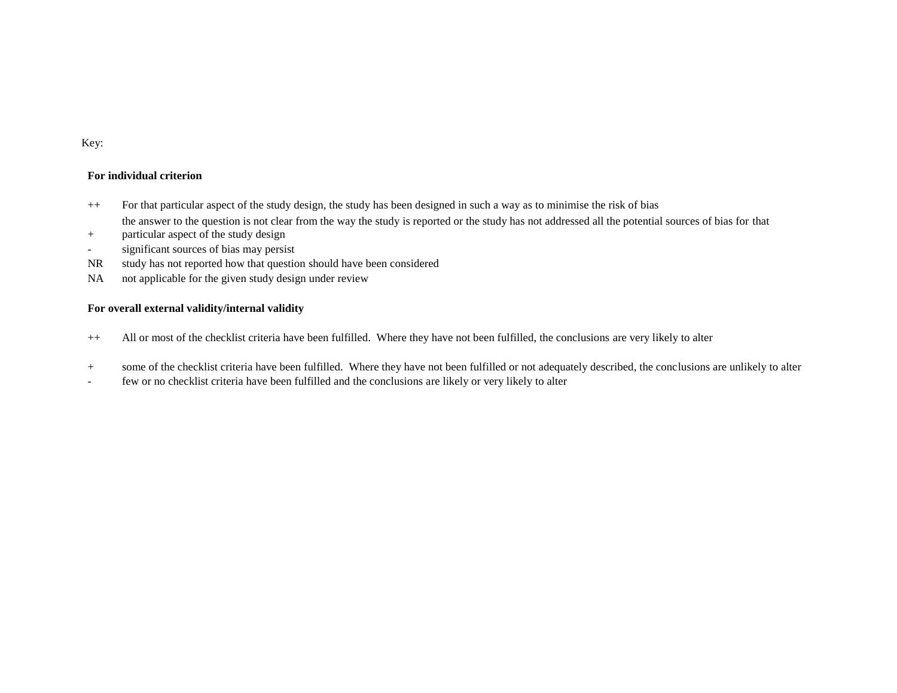#### Key:

#### **For individual criterion**

- ++ For that particular aspect of the study design, the study has been designed in such a way as to minimise the risk of bias the answer to the question is not clear from the way the study is reported or the study has not addressed all the potential sources of bias for that
- + particular aspect of the study design
- significant sources of bias may persist
- NR study has not reported how that question should have been considered
- NA not applicable for the given study design under review

#### **For overall external validity/internal validity**

- ++ All or most of the checklist criteria have been fulfilled. Where they have not been fulfilled, the conclusions are very likely to alter
- + some of the checklist criteria have been fulfilled. Where they have not been fulfilled or not adequately described, the conclusions are unlikely to alter
- few or no checklist criteria have been fulfilled and the conclusions are likely or very likely to alter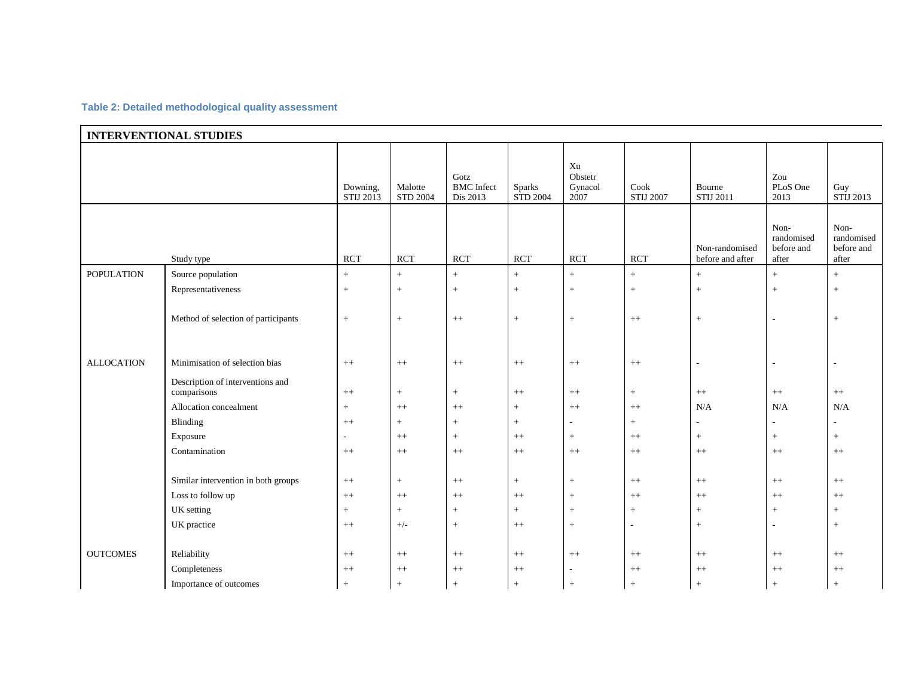#### **Table 2: Detailed methodological quality assessment**

| <b>INTERVENTIONAL STUDIES</b> |                                                                           |                            |                                       |                           |                                  |                              |                     |                                    |                                           |                                           |  |
|-------------------------------|---------------------------------------------------------------------------|----------------------------|---------------------------------------|---------------------------|----------------------------------|------------------------------|---------------------|------------------------------------|-------------------------------------------|-------------------------------------------|--|
|                               | Downing,<br>STIJ 2013                                                     | Malotte<br><b>STD 2004</b> | Gotz<br><b>BMC</b> Infect<br>Dis 2013 | Sparks<br><b>STD 2004</b> | Xu<br>Obstetr<br>Gynacol<br>2007 | Cook<br><b>STIJ 2007</b>     | Bourne<br>STIJ 2011 | Zou<br>PLoS One<br>2013            | Guy<br>STIJ 2013                          |                                           |  |
|                               | Study type                                                                | <b>RCT</b>                 | <b>RCT</b>                            | <b>RCT</b>                | <b>RCT</b>                       | <b>RCT</b>                   | <b>RCT</b>          | Non-randomised<br>before and after | Non-<br>randomised<br>before and<br>after | Non-<br>randomised<br>before and<br>after |  |
| <b>POPULATION</b>             | Source population                                                         | $+$                        | $+$                                   | $+$                       | $\pm$                            | $\, +$                       | $+$                 | $\,+\,$                            | $+$                                       | $+$                                       |  |
|                               | Representativeness                                                        | $+$                        | $+$                                   | $^{+}$                    | $+$                              | $\qquad \qquad +$            | $\! +$              | $+$                                | $^{+}$                                    | $+$                                       |  |
|                               | Method of selection of participants                                       | $+$                        | $+$                                   | $^{++}$                   | $+$                              | $\qquad \qquad +$            | $^{++}$             | $+$                                | $\overline{a}$                            | $+$                                       |  |
| <b>ALLOCATION</b>             | Minimisation of selection bias                                            | $^{++}$                    | $++$                                  | $++$                      | $++$                             | $++$                         | $^{++}$             | $\sim$                             | $\overline{\phantom{a}}$                  | $\overline{\phantom{a}}$                  |  |
|                               | Description of interventions and<br>comparisons<br>Allocation concealment | $++$<br>$+$                | $\, +$<br>$++$                        | $+$<br>$^{++}$            | $++$<br>$+$                      | $\boldsymbol{++}$<br>$^{++}$ | $+$<br>$^{++}$      | $++$<br>N/A                        | $\boldsymbol{++}$<br>N/A                  | $++$<br>N/A                               |  |
|                               | Blinding                                                                  | $++$                       | $+$                                   | $+$                       | $+$                              | $\overline{\phantom{a}}$     | $+$                 |                                    | $\overline{a}$                            | $\overline{\phantom{a}}$                  |  |
|                               | Exposure                                                                  | ÷                          | $++$                                  | $+$                       | $++$                             | $\boldsymbol{+}$             | $++$                | $+$                                | $+$                                       | $+$                                       |  |
|                               | Contamination                                                             | $^{++}$                    | $^{++}$                               | $^{++}$                   | $^{++}$                          | $^{++}$                      | $^{++}$             | $^{++}$                            | $^{++}$                                   | $++$                                      |  |
|                               |                                                                           |                            |                                       |                           |                                  |                              |                     |                                    |                                           |                                           |  |
|                               | Similar intervention in both groups                                       | $^{++}$                    | $\, +$                                | $++$                      | $\, +$                           | $+$                          | $^{++}$             | $++$                               | $^{++}$                                   | $^{++}$                                   |  |
|                               | Loss to follow up                                                         | $++$                       | $++$                                  | $^{++}$                   | $++$                             | $+$                          | $++$                | $++$                               | $++$                                      | $++$                                      |  |
|                               | UK setting                                                                | $+$                        | $+$                                   | $+$                       | $\,+\,$                          | $+$                          | $+$                 | $\color{red}{+}$                   | $+$                                       | $+$                                       |  |
|                               | UK practice                                                               | $++$                       | $+/-$                                 | $+$                       | $++$                             | $+$                          | $\sim$              | $+$                                | ۰                                         | $+$                                       |  |
|                               |                                                                           |                            |                                       |                           |                                  |                              |                     |                                    |                                           |                                           |  |
| <b>OUTCOMES</b>               | Reliability                                                               | $++$                       | $^{++}$                               | $^{++}$                   | $++$                             | $^{++}$                      | $^{++}\,$           | $^{++}$                            | $^{++}$                                   | $++$                                      |  |
|                               | Completeness                                                              | $^{++}$                    | $++$                                  | $^{++}$                   | $^{++}$                          | $\overline{\phantom{a}}$     | $^{++}$             | $++$                               | $^{++}$                                   | $++$                                      |  |
|                               | Importance of outcomes                                                    | $+$                        | $+$                                   | $+$                       | $\ddot{+}$                       | $\overline{+}$               | $+$                 | $\ddot{+}$                         | $\ddot{}$                                 | $+$                                       |  |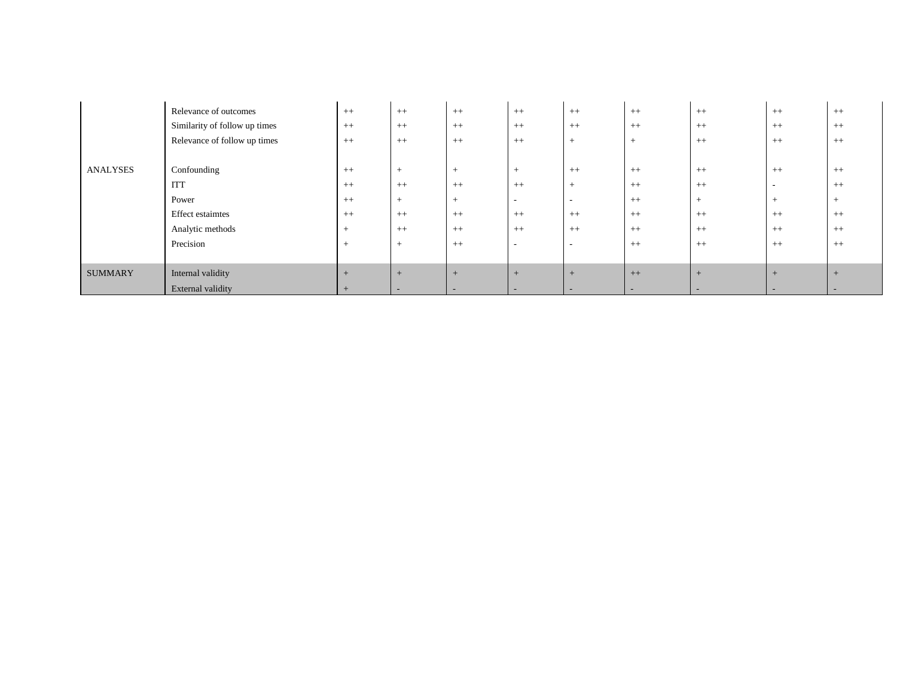|                 | Relevance of outcomes<br>Similarity of follow up times<br>Relevance of follow up times | $++$<br>$++$<br>$++$ | $++$<br>$++$<br>$++$ | $++$<br>$++$<br>$++$     | $++$<br>$++$<br>$++$     | $++$<br>$++$<br>$^{+}$ | $++$<br>$++$<br>$+$      | $^{++}$<br>$^{++}$<br>$^{++}$ | $++$<br>$^{++}$<br>$^{++}$ | $++$<br>$++$<br>$++$ |
|-----------------|----------------------------------------------------------------------------------------|----------------------|----------------------|--------------------------|--------------------------|------------------------|--------------------------|-------------------------------|----------------------------|----------------------|
|                 |                                                                                        |                      |                      |                          |                          |                        |                          |                               |                            |                      |
| <b>ANALYSES</b> | Confounding                                                                            | $++$                 | $+$                  | $^{+}$                   | $+$                      | $++$                   | $++$                     | $^{++}$                       | $++$                       | $++$                 |
|                 | <b>ITT</b>                                                                             | $++$                 | $++$                 | $++$                     | $++$                     | $^{+}$                 | $++$                     | $++$                          | $\sim$                     | $++$                 |
|                 | Power                                                                                  | $++$                 | $+$                  | $+$                      | $\overline{\phantom{0}}$ | $\sim$                 | $++$                     | $+$                           | $^{+}$                     | $^+$                 |
|                 | <b>Effect estaimtes</b>                                                                | $++$                 | $++$                 | $^{++}$                  | $^{++}$                  | $++$                   | $++$                     | $^{++}$                       | $^{++}$                    | $++$                 |
|                 | Analytic methods                                                                       | $+$                  | $++$                 | $++$                     | $++$                     | $++$                   | $++$                     | $++$                          | $++$                       | $++$                 |
|                 | Precision                                                                              | $+$                  | $+$                  | $++$                     | $\overline{\phantom{0}}$ | $\sim$                 | $++$                     | $^{++}$                       | $^{++}$                    | $++$                 |
|                 |                                                                                        |                      |                      |                          |                          |                        |                          |                               |                            |                      |
| <b>SUMMARY</b>  | Internal validity                                                                      | $+$                  | $+$                  | $+$                      | $+$                      | $+$                    | $++$                     | $+$                           | $+$                        |                      |
|                 | External validity                                                                      | $+$                  |                      | $\overline{\phantom{0}}$ | $\sim$                   | $\sim$                 | $\overline{\phantom{0}}$ |                               | $\overline{\phantom{0}}$   |                      |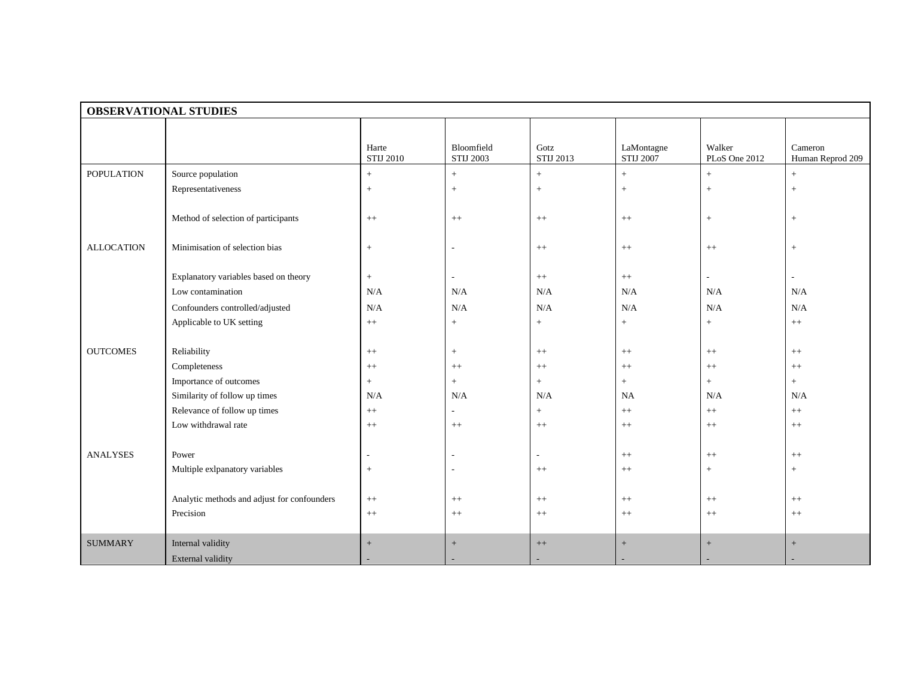|                   | <b>OBSERVATIONAL STUDIES</b>                                                                                              |                                |                                |                              |                                |                         |                                      |
|-------------------|---------------------------------------------------------------------------------------------------------------------------|--------------------------------|--------------------------------|------------------------------|--------------------------------|-------------------------|--------------------------------------|
|                   |                                                                                                                           | Harte<br><b>STIJ 2010</b>      | Bloomfield<br><b>STIJ 2003</b> | Gotz<br>STIJ 2013            | LaMontagne<br><b>STIJ 2007</b> | Walker<br>PLoS One 2012 | Cameron<br>Human Reprod 209          |
| <b>POPULATION</b> | Source population                                                                                                         | $+$                            | $+$                            | $+$                          | $+$                            | $\pm$                   | $+$                                  |
|                   | Representativeness                                                                                                        | $+$                            | $+$                            | $+$                          | $\! +$                         | $\boldsymbol{+}$        | $\,$ + $\,$                          |
|                   | Method of selection of participants                                                                                       | $++$                           | $++$                           | $++$                         | $^{++}$                        | $\boldsymbol{+}$        | $\,$ + $\,$                          |
| <b>ALLOCATION</b> | Minimisation of selection bias                                                                                            | $+$                            |                                | $++$                         | $^{++}$                        | $++$                    | $\,$ + $\,$                          |
|                   | Explanatory variables based on theory<br>Low contamination<br>Confounders controlled/adjusted<br>Applicable to UK setting | $\pm$<br>N/A<br>N/A<br>$^{++}$ | N/A<br>N/A<br>$\, +$           | $++$<br>N/A<br>N/A<br>$\, +$ | $++$<br>N/A<br>N/A<br>$\, +$   | N/A<br>N/A<br>$\, +$    | $\overline{a}$<br>N/A<br>N/A<br>$++$ |
|                   |                                                                                                                           |                                |                                |                              |                                |                         |                                      |
| <b>OUTCOMES</b>   | Reliability                                                                                                               | $^{++}$                        | $+$                            | $^{++}$                      | $^{++}$                        | $^{++}$                 | $^{++}$                              |
|                   | Completeness                                                                                                              | $^{++}$                        | $^{++}$                        | $++$                         | $++$                           | $++$                    | $++$                                 |
|                   | Importance of outcomes                                                                                                    | $+$                            | $+$                            | $+$                          | $+$                            | $\pm$                   | $+$                                  |
|                   | Similarity of follow up times                                                                                             | N/A                            | N/A                            | N/A                          | <b>NA</b>                      | N/A                     | N/A                                  |
|                   | Relevance of follow up times                                                                                              | $^{++}$                        | $\overline{\phantom{a}}$       | $+$                          | $^{++}$                        | $^{++}$                 | $^{++}$                              |
|                   | Low withdrawal rate                                                                                                       | $^{++}$                        | $++$                           | $^{++}$                      | $++$                           | $++$                    | $++$                                 |
| <b>ANALYSES</b>   | Power<br>Multiple exlpanatory variables                                                                                   | $+$                            |                                | $++$                         | $++$<br>$^{++}$                | $++$<br>$\! +$          | $^{++}$<br>$+$                       |
|                   |                                                                                                                           |                                |                                |                              |                                |                         |                                      |
|                   | Analytic methods and adjust for confounders<br>Precision                                                                  | $++$<br>$^{++}$                | $^{++}$<br>$++$                | $++$<br>$++$                 | $++$<br>$++$                   | $++$<br>$++$            | $++$<br>$++$                         |
| <b>SUMMARY</b>    | Internal validity                                                                                                         | $+$                            | $\qquad \qquad +$              | $++$                         | $^{+}$                         | $^{+}$                  | $\! + \!\!\!\!$                      |
|                   | <b>External validity</b>                                                                                                  |                                |                                |                              |                                |                         |                                      |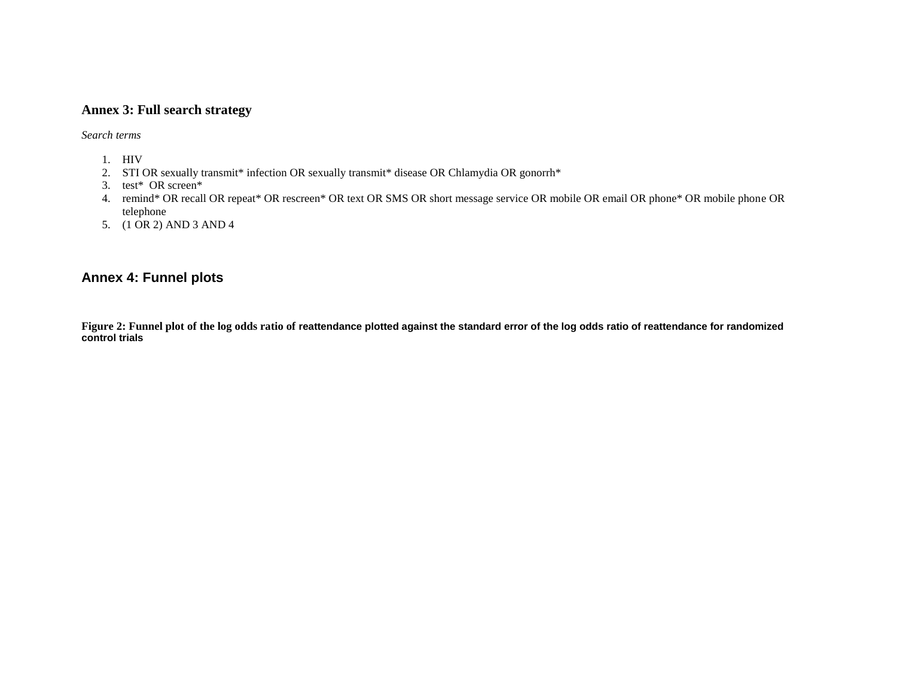## **Annex 3: Full search strategy**

*Search terms*

- 1. HIV
- 2. STI OR sexually transmit\* infection OR sexually transmit\* disease OR Chlamydia OR gonorrh\*
- 3. test\* OR screen\*
- 4. remind\* OR recall OR repeat\* OR rescreen\* OR text OR SMS OR short message service OR mobile OR email OR phone\* OR mobile phone OR telephone
- 5. (1 OR 2) AND 3 AND 4

## **Annex 4: Funnel plots**

**Figure 2: Funnel plot of the log odds ratio of reattendance plotted against the standard error of the log odds ratio of reattendance for randomized control trials**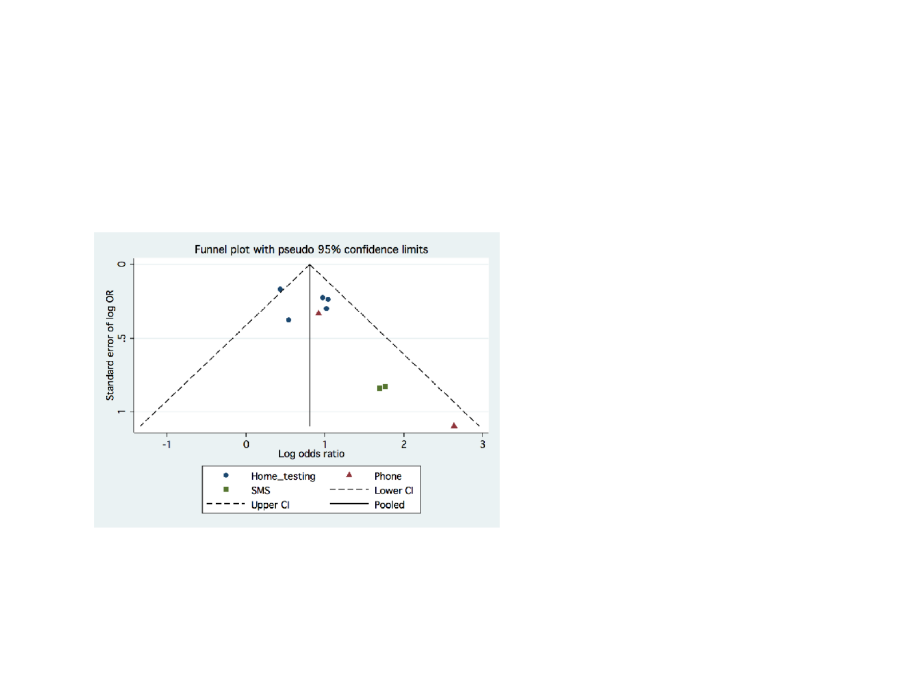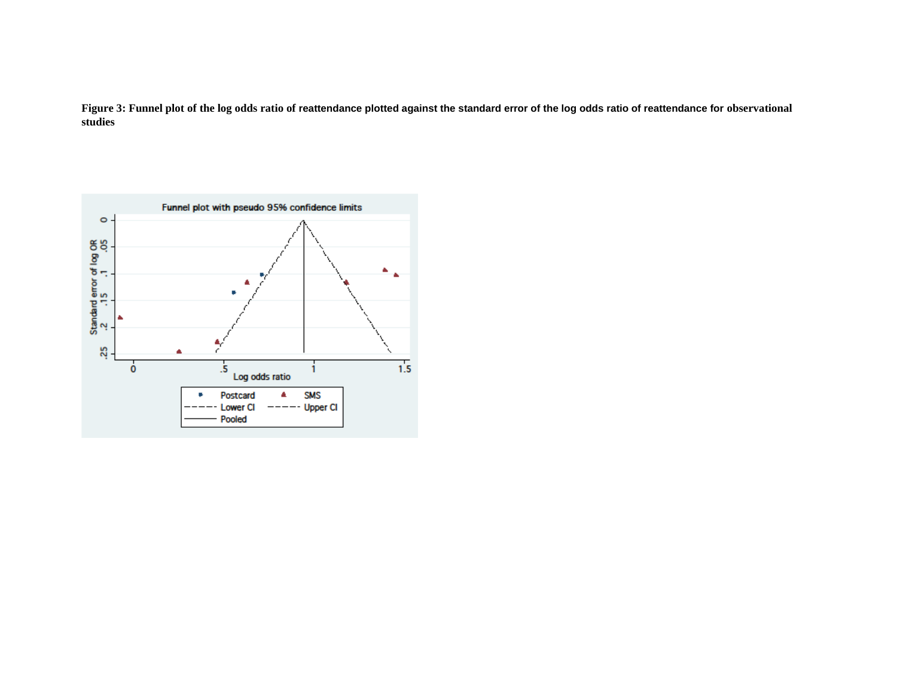Figure 3: Funnel plot of the log odds ratio of reattendance plotted against the standard error of the log odds ratio of reattendance for observational **studies**

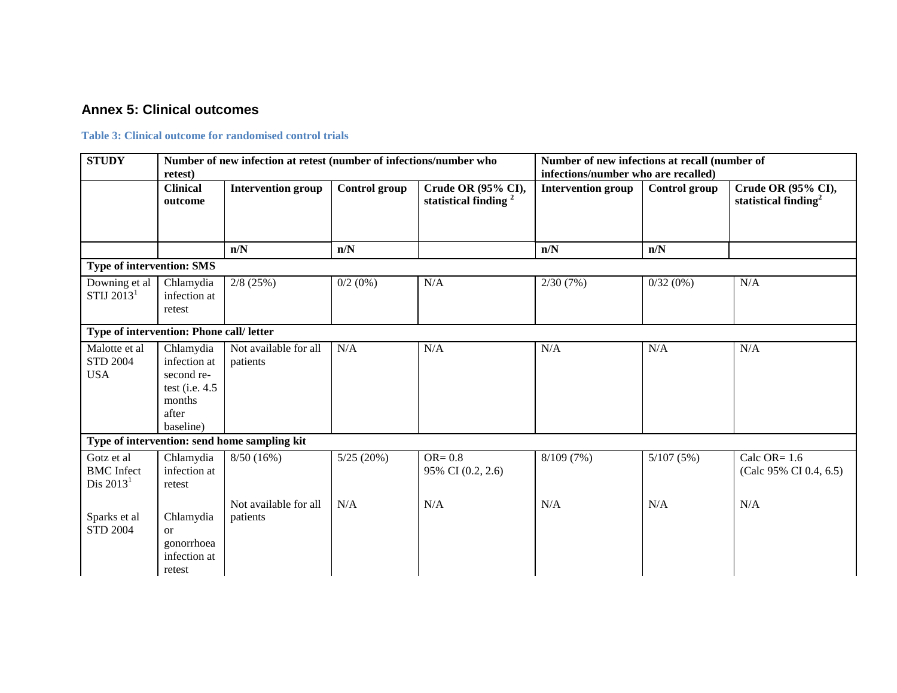## **Annex 5: Clinical outcomes**

#### **Table 3: Clinical outcome for randomised control trials**

| <b>STUDY</b>                                   | retest)                                                                                     | Number of new infection at retest (number of infections/number who |               | Number of new infections at recall (number of<br>infections/number who are recalled) |                           |               |                                               |
|------------------------------------------------|---------------------------------------------------------------------------------------------|--------------------------------------------------------------------|---------------|--------------------------------------------------------------------------------------|---------------------------|---------------|-----------------------------------------------|
|                                                | <b>Clinical</b><br>outcome                                                                  | <b>Intervention group</b>                                          | Control group | Crude OR (95% CI),<br>statistical finding <sup>2</sup>                               | <b>Intervention group</b> | Control group | Crude OR (95% CI),<br>statistical finding $2$ |
|                                                |                                                                                             | n/N                                                                | n/N           |                                                                                      | n/N                       | n/N           |                                               |
| <b>Type of intervention: SMS</b>               |                                                                                             |                                                                    |               |                                                                                      |                           |               |                                               |
| Downing et al<br>STIJ $20131$                  | Chlamydia<br>infection at<br>retest                                                         | $2/8$ (25%)                                                        | $0/2$ (0%)    | N/A                                                                                  | 2/30(7%)                  | 0/32(0%)      | N/A                                           |
| Type of intervention: Phone call/ letter       |                                                                                             |                                                                    |               |                                                                                      |                           |               |                                               |
| Malotte et al<br><b>STD 2004</b><br><b>USA</b> | Chlamydia<br>infection at<br>second re-<br>test (i.e. $4.5$<br>months<br>after<br>baseline) | Not available for all<br>patients                                  | N/A           | N/A                                                                                  | N/A                       | N/A           | N/A                                           |
|                                                |                                                                                             | Type of intervention: send home sampling kit                       |               |                                                                                      |                           |               |                                               |
| Gotz et al<br><b>BMC</b> Infect<br>Dis $20131$ | Chlamydia<br>infection at<br>retest                                                         | 8/50(16%)                                                          | 5/25(20%)     | $OR = 0.8$<br>95% CI (0.2, 2.6)                                                      | 8/109(7%)                 | 5/107(5%)     | Calc OR= $1.6$<br>(Calc 95% CI 0.4, 6.5)      |
| Sparks et al<br><b>STD 2004</b>                | Chlamydia<br>$\alpha$<br>gonorrhoea<br>infection at<br>retest                               | Not available for all<br>patients                                  | N/A           | N/A                                                                                  | N/A                       | N/A           | N/A                                           |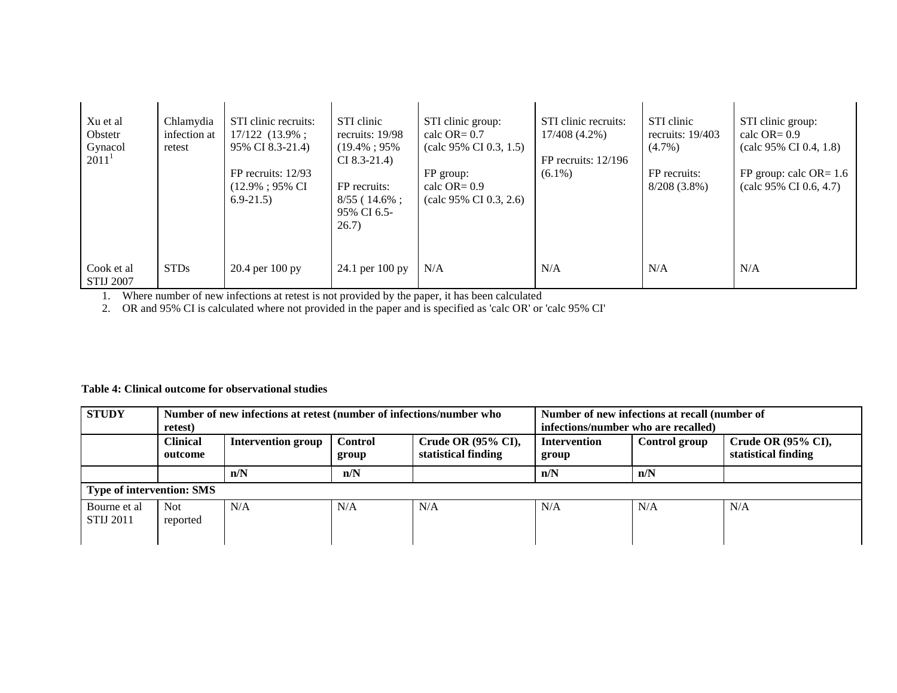| Xu et al<br>Obstetr<br>Gynacol<br>$2011^1$ | Chlamydia<br>infection at<br>retest | STI clinic recruits:<br>$17/122$ $(13.9\%$ ;<br>95% CI 8.3-21.4)<br>$FP$ recruits: $12/93$<br>(12.9%; 95% CI)<br>$6.9 - 21.5$ | STI clinic<br>recruits: 19/98<br>$(19.4\%:95\%$<br>$CI 8.3-21.4$<br>FP recruits:<br>$8/55$ (14.6%;<br>95% CI 6.5-<br>26.7) | STI clinic group:<br>calc OR= $0.7$<br>$\text{(calc } 95\% \text{ CI } 0.3, 1.5)$<br>FP group:<br>calc $OR = 0.9$<br>$\text{(calc } 95\% \text{ CI } 0.3, 2.6)$ | STI clinic recruits:<br>17/408 (4.2%)<br>FP recruits: $12/196$<br>$(6.1\%)$ | STI clinic<br>recruits: $19/403$<br>$(4.7\%)$<br>FP recruits:<br>$8/208(3.8\%)$ | STI clinic group:<br>calc $OR = 0.9$<br>$\text{(calc } 95\% \text{ CI } 0.4, 1.8)$<br>FP group: calc $OR = 1.6$<br>$\text{(calc } 95\% \text{ CI } 0.6, 4.7\text{)}$ |
|--------------------------------------------|-------------------------------------|-------------------------------------------------------------------------------------------------------------------------------|----------------------------------------------------------------------------------------------------------------------------|-----------------------------------------------------------------------------------------------------------------------------------------------------------------|-----------------------------------------------------------------------------|---------------------------------------------------------------------------------|----------------------------------------------------------------------------------------------------------------------------------------------------------------------|
| Cook et al.<br><b>STIJ 2007</b>            | <b>STDs</b>                         | $20.4$ per $100$ py                                                                                                           | 24.1 per 100 py                                                                                                            | N/A                                                                                                                                                             | N/A                                                                         | N/A                                                                             | N/A                                                                                                                                                                  |

1. Where number of new infections at retest is not provided by the paper, it has been calculated

2. OR and 95% CI is calculated where not provided in the paper and is specified as 'calc OR' or 'calc 95% CI'

### **Table 4: Clinical outcome for observational studies**

| <b>STUDY</b>                     | retest)                                                                                                                  | Number of new infections at retest (number of infections/number who |     |     | Number of new infections at recall (number of<br>infections/number who are recalled) |               |                                           |
|----------------------------------|--------------------------------------------------------------------------------------------------------------------------|---------------------------------------------------------------------|-----|-----|--------------------------------------------------------------------------------------|---------------|-------------------------------------------|
|                                  | <b>Clinical</b><br>Crude OR (95% CI),<br><b>Control</b><br>Intervention group<br>statistical finding<br>outcome<br>group |                                                                     |     |     | <b>Intervention</b><br>group                                                         | Control group | Crude OR (95% CI),<br>statistical finding |
|                                  |                                                                                                                          | n/N                                                                 | n/N |     | n/N                                                                                  | n/N           |                                           |
| <b>Type of intervention: SMS</b> |                                                                                                                          |                                                                     |     |     |                                                                                      |               |                                           |
| Bourne et al<br><b>STIJ 2011</b> | Not<br>reported                                                                                                          | N/A                                                                 | N/A | N/A | N/A                                                                                  | N/A           | N/A                                       |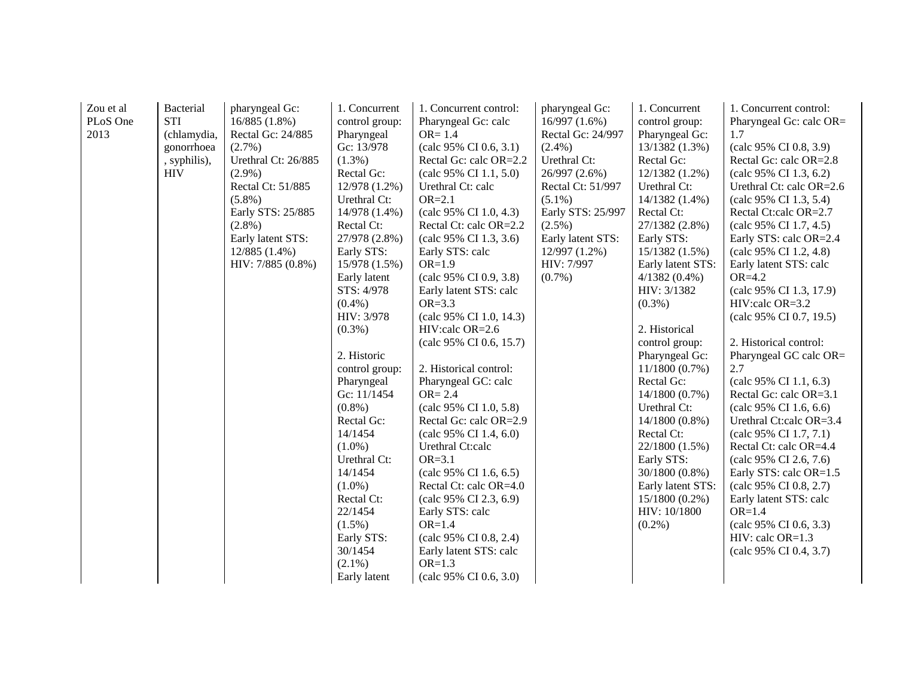| Zou et al | Bacterial    | pharyngeal Gc:      | 1. Concurrent  | 1. Concurrent control:  | pharyngeal Gc:    | 1. Concurrent     | 1. Concurrent control:           |
|-----------|--------------|---------------------|----------------|-------------------------|-------------------|-------------------|----------------------------------|
| PLoS One  | <b>STI</b>   | 16/885(1.8%)        | control group: | Pharyngeal Gc: calc     | 16/997(1.6%)      | control group:    | Pharyngeal Gc: calc OR=          |
| 2013      | (chlamydia,  | Rectal Gc: 24/885   | Pharyngeal     | $OR = 1.4$              | Rectal Gc: 24/997 | Pharyngeal Gc:    | 1.7                              |
|           | gonorrhoea   | $(2.7\%)$           | Gc: 13/978     | (calc 95% CI 0.6, 3.1)  | $(2.4\%)$         | 13/1382(1.3%)     | (calc 95% CI 0.8, 3.9)           |
|           | , syphilis), | Urethral Ct: 26/885 | $(1.3\%)$      | Rectal Gc: calc OR=2.2  | Urethral Ct:      | Rectal Gc:        | Rectal Gc: calc OR=2.8           |
|           | <b>HIV</b>   | $(2.9\%)$           | Rectal Gc:     | (calc 95% CI 1.1, 5.0)  | 26/997 (2.6%)     | 12/1382 (1.2%)    | (calc 95% CI 1.3, 6.2)           |
|           |              | Rectal Ct: 51/885   | 12/978 (1.2%)  | Urethral Ct: calc       | Rectal Ct: 51/997 | Urethral Ct:      | Urethral Ct: calc OR=2.6         |
|           |              | $(5.8\%)$           | Urethral Ct:   | $OR=2.1$                | $(5.1\%)$         | 14/1382 (1.4%)    | (calc 95% CI 1.3, 5.4)           |
|           |              | Early STS: 25/885   | 14/978 (1.4%)  | (calc 95% CI 1.0, 4.3)  | Early STS: 25/997 | Rectal Ct:        | Rectal Ct:calc OR=2.7            |
|           |              | $(2.8\%)$           | Rectal Ct:     | Rectal Ct: calc OR=2.2  | $(2.5\%)$         | 27/1382 (2.8%)    | $\text{(calc 95\% CI 1.7, 4.5)}$ |
|           |              | Early latent STS:   | 27/978 (2.8%)  | (calc 95% CI 1.3, 3.6)  | Early latent STS: | Early STS:        | Early STS: calc OR=2.4           |
|           |              | $12/885(1.4\%)$     | Early STS:     | Early STS: calc         | 12/997 (1.2%)     | 15/1382(1.5%)     | (calc 95% CI 1.2, 4.8)           |
|           |              | HIV: 7/885 (0.8%)   | 15/978 (1.5%)  | $OR=1.9$                | HIV: 7/997        | Early latent STS: | Early latent STS: calc           |
|           |              |                     | Early latent   | (calc 95% CI 0.9, 3.8)  | $(0.7\%)$         | $4/1382(0.4\%)$   | $OR=4.2$                         |
|           |              |                     | STS: 4/978     | Early latent STS: calc  |                   | HIV: 3/1382       | (calc 95% CI 1.3, 17.9)          |
|           |              |                     | $(0.4\%)$      | $OR = 3.3$              |                   | $(0.3\%)$         | HIV:calc OR=3.2                  |
|           |              |                     | HIV: 3/978     | (calc 95% CI 1.0, 14.3) |                   |                   | (calc 95% CI 0.7, 19.5)          |
|           |              |                     | $(0.3\%)$      | HIV:calc OR=2.6         |                   | 2. Historical     |                                  |
|           |              |                     |                | (calc 95% CI 0.6, 15.7) |                   | control group:    | 2. Historical control:           |
|           |              |                     | 2. Historic    |                         |                   | Pharyngeal Gc:    | Pharyngeal GC calc OR=           |
|           |              |                     | control group: | 2. Historical control:  |                   | $11/1800(0.7\%)$  | 2.7                              |
|           |              |                     | Pharyngeal     | Pharyngeal GC: calc     |                   | Rectal Gc:        | (calc 95% CI 1.1, 6.3)           |
|           |              |                     | Gc: 11/1454    | $OR = 2.4$              |                   | $14/1800(0.7\%)$  | Rectal Gc: calc OR=3.1           |
|           |              |                     | $(0.8\%)$      | (calc 95% CI 1.0, 5.8)  |                   | Urethral Ct:      | (calc 95% CI 1.6, 6.6)           |
|           |              |                     | Rectal Gc:     | Rectal Gc: calc OR=2.9  |                   | $14/1800(0.8\%)$  | Urethral Ct:calc OR=3.4          |
|           |              |                     | 14/1454        | (calc 95% CI 1.4, 6.0)  |                   | Rectal Ct:        | (calc 95% CI 1.7, 7.1)           |
|           |              |                     | $(1.0\%)$      | Urethral Ct:calc        |                   | 22/1800 (1.5%)    | Rectal Ct: calc OR=4.4           |
|           |              |                     | Urethral Ct:   | $OR = 3.1$              |                   | Early STS:        | (calc 95% CI 2.6, 7.6)           |
|           |              |                     | 14/1454        | (calc 95% CI 1.6, 6.5)  |                   | 30/1800 (0.8%)    | Early STS: calc OR=1.5           |
|           |              |                     | $(1.0\%)$      | Rectal Ct: calc OR=4.0  |                   | Early latent STS: | (calc 95% CI 0.8, 2.7)           |
|           |              |                     | Rectal Ct:     | (calc 95% CI 2.3, 6.9)  |                   | $15/1800(0.2\%)$  | Early latent STS: calc           |
|           |              |                     | 22/1454        | Early STS: calc         |                   | HIV: 10/1800      | $OR=1.4$                         |
|           |              |                     | $(1.5\%)$      | $OR=1.4$                |                   | $(0.2\%)$         | (calc 95% CI 0.6, 3.3)           |
|           |              |                     | Early STS:     | (calc 95% CI 0.8, 2.4)  |                   |                   | HIV: calc OR=1.3                 |
|           |              |                     | 30/1454        | Early latent STS: calc  |                   |                   | (calc 95% CI 0.4, 3.7)           |
|           |              |                     | $(2.1\%)$      | $OR=1.3$                |                   |                   |                                  |
|           |              |                     | Early latent   | (calc 95% CI 0.6, 3.0)  |                   |                   |                                  |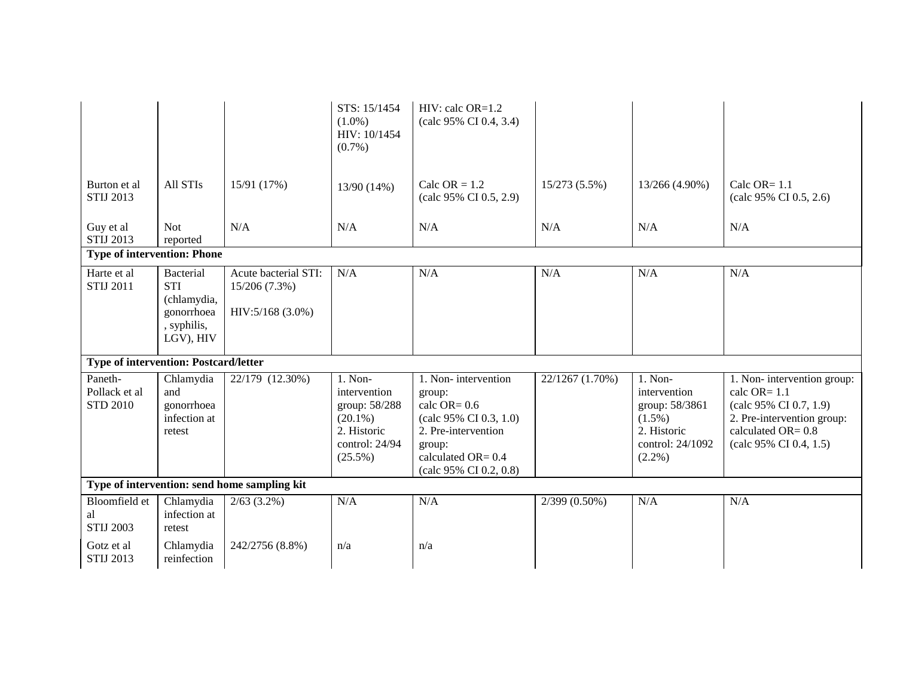|                                              |                                                                                  |                                                           | STS: 15/1454<br>$(1.0\%)$<br>HIV: 10/1454<br>$(0.7\%)$                                                  | $HIV:$ calc $OR=1.2$<br>(calc 95% CI 0.4, 3.4)                                                                                                              |                            |                                                                                                     |                                                                                                                                                         |
|----------------------------------------------|----------------------------------------------------------------------------------|-----------------------------------------------------------|---------------------------------------------------------------------------------------------------------|-------------------------------------------------------------------------------------------------------------------------------------------------------------|----------------------------|-----------------------------------------------------------------------------------------------------|---------------------------------------------------------------------------------------------------------------------------------------------------------|
| Burton et al<br><b>STIJ 2013</b>             | All STIs                                                                         | 15/91 (17%)                                               | 13/90 (14%)                                                                                             | Calc OR $= 1.2$<br>(calc 95% CI 0.5, 2.9)                                                                                                                   | 15/273 (5.5%)              | 13/266 (4.90%)                                                                                      | Calc OR= $1.1$<br>(calc 95% CI 0.5, 2.6)                                                                                                                |
| Guy et al<br><b>STIJ 2013</b>                | <b>Not</b><br>reported                                                           | N/A                                                       | N/A                                                                                                     | N/A                                                                                                                                                         | N/A                        | N/A                                                                                                 | N/A                                                                                                                                                     |
| <b>Type of intervention: Phone</b>           |                                                                                  |                                                           |                                                                                                         |                                                                                                                                                             |                            |                                                                                                     |                                                                                                                                                         |
| Harte et al<br><b>STIJ 2011</b>              | Bacterial<br><b>STI</b><br>(chlamydia,<br>gonorrhoea<br>, syphilis,<br>LGV), HIV | Acute bacterial STI:<br>15/206 (7.3%)<br>HIV:5/168 (3.0%) | N/A                                                                                                     | N/A                                                                                                                                                         | N/A                        | N/A                                                                                                 | N/A                                                                                                                                                     |
| <b>Type of intervention: Postcard/letter</b> |                                                                                  |                                                           |                                                                                                         |                                                                                                                                                             |                            |                                                                                                     |                                                                                                                                                         |
| Paneth-<br>Pollack et al<br><b>STD 2010</b>  | Chlamydia<br>and<br>gonorrhoea<br>infection at<br>retest                         | 22/179 (12.30%)                                           | $1.$ Non-<br>intervention<br>group: 58/288<br>$(20.1\%)$<br>2. Historic<br>control: 24/94<br>$(25.5\%)$ | 1. Non-intervention<br>group:<br>calc $OR = 0.6$<br>(calc 95% CI 0.3, 1.0)<br>2. Pre-intervention<br>group:<br>calculated OR= 0.4<br>(calc 95% CI 0.2, 0.8) | 22/1267 (1.70%)            | 1. Non-<br>intervention<br>group: 58/3861<br>$(1.5\%)$<br>2. Historic<br>control: 24/1092<br>(2.2%) | 1. Non-intervention group:<br>calc $OR = 1.1$<br>(calc 95% CI 0.7, 1.9)<br>2. Pre-intervention group:<br>calculated OR= $0.8$<br>(calc 95% CI 0.4, 1.5) |
|                                              |                                                                                  | Type of intervention: send home sampling kit              |                                                                                                         |                                                                                                                                                             |                            |                                                                                                     |                                                                                                                                                         |
| Bloomfield et<br>al<br><b>STIJ 2003</b>      | Chlamydia<br>infection at<br>retest                                              | $2/63$ (3.2%)                                             | N/A                                                                                                     | N/A                                                                                                                                                         | $\overline{2/399}$ (0.50%) | N/A                                                                                                 | N/A                                                                                                                                                     |
| Gotz et al<br><b>STIJ 2013</b>               | Chlamydia<br>reinfection                                                         | 242/2756 (8.8%)                                           | n/a                                                                                                     | n/a                                                                                                                                                         |                            |                                                                                                     |                                                                                                                                                         |